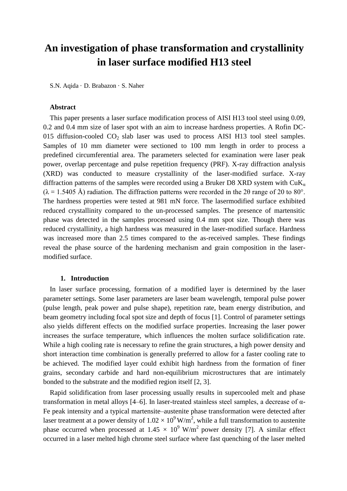# **An investigation of phase transformation and crystallinity in laser surface modified H13 steel**

S.N. Aqida · D. Brabazon · S. Naher

## **Abstract**

This paper presents a laser surface modification process of AISI H13 tool steel using 0.09, 0.2 and 0.4 mm size of laser spot with an aim to increase hardness properties. A Rofin DC-015 diffusion-cooled  $CO<sub>2</sub>$  slab laser was used to process AISI H13 tool steel samples. Samples of 10 mm diameter were sectioned to 100 mm length in order to process a predefined circumferential area. The parameters selected for examination were laser peak power, overlap percentage and pulse repetition frequency (PRF). X-ray diffraction analysis (XRD) was conducted to measure crystallinity of the laser-modified surface. X-ray diffraction patterns of the samples were recorded using a Bruker D8 XRD system with  $CuK_a$  $(\lambda = 1.5405 \text{ Å})$  radiation. The diffraction patterns were recorded in the 20 range of 20 to 80°. The hardness properties were tested at 981 mN force. The lasermodified surface exhibited reduced crystallinity compared to the un-processed samples. The presence of martensitic phase was detected in the samples processed using 0.4 mm spot size. Though there was reduced crystallinity, a high hardness was measured in the laser-modified surface. Hardness was increased more than 2.5 times compared to the as-received samples. These findings reveal the phase source of the hardening mechanism and grain composition in the lasermodified surface.

## **1. Introduction**

In laser surface processing, formation of a modified layer is determined by the laser parameter settings. Some laser parameters are laser beam wavelength, temporal pulse power (pulse length, peak power and pulse shape), repetition rate, beam energy distribution, and beam geometry including focal spot size and depth of focus [1]. Control of parameter settings also yields different effects on the modified surface properties. Increasing the laser power increases the surface temperature, which influences the molten surface solidification rate. While a high cooling rate is necessary to refine the grain structures, a high power density and short interaction time combination is generally preferred to allow for a faster cooling rate to be achieved. The modified layer could exhibit high hardness from the formation of finer grains, secondary carbide and hard non-equilibrium microstructures that are intimately bonded to the substrate and the modified region itself [2, 3].

Rapid solidification from laser processing usually results in supercooled melt and phase transformation in metal alloys [4–6]. In laser-treated stainless steel samples, a decrease of α-Fe peak intensity and a typical martensite–austenite phase transformation were detected after laser treatment at a power density of  $1.02 \times 10^9$  W/m<sup>2</sup>, while a full transformation to austenite phase occurred when processed at  $1.45 \times 10^9$  W/m<sup>2</sup> power density [7]. A similar effect occurred in a laser melted high chrome steel surface where fast quenching of the laser melted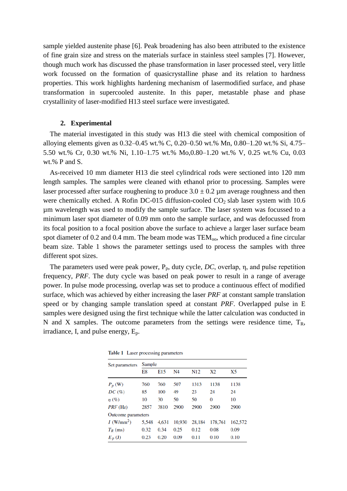sample yielded austenite phase [6]. Peak broadening has also been attributed to the existence of fine grain size and stress on the materials surface in stainless steel samples [7]. However, though much work has discussed the phase transformation in laser processed steel, very little work focussed on the formation of quasicrystalline phase and its relation to hardness properties. This work highlights hardening mechanism of lasermodified surface, and phase transformation in supercooled austenite. In this paper, metastable phase and phase crystallinity of laser-modified H13 steel surface were investigated.

### **2. Experimental**

The material investigated in this study was H13 die steel with chemical composition of alloying elements given as 0.32–0.45 wt.% C, 0.20–0.50 wt.% Mn, 0.80–1.20 wt.% Si, 4.75– 5.50 wt.% Cr, 0.30 wt.% Ni, 1.10–1.75 wt.% Mo,0.80–1.20 wt.% V, 0.25 wt.% Cu, 0.03 wt.% P and S.

As-received 10 mm diameter H13 die steel cylindrical rods were sectioned into 120 mm length samples. The samples were cleaned with ethanol prior to processing. Samples were laser processed after surface roughening to produce  $3.0 \pm 0.2$  µm average roughness and then were chemically etched. A Rofin DC-015 diffusion-cooled  $CO<sub>2</sub>$  slab laser system with 10.6 µm wavelength was used to modify the sample surface. The laser system was focussed to a minimum laser spot diameter of 0.09 mm onto the sample surface, and was defocussed from its focal position to a focal position above the surface to achieve a larger laser surface beam spot diameter of  $0.2$  and  $0.4$  mm. The beam mode was  $TEM_{oo}$ , which produced a fine circular beam size. Table 1 shows the parameter settings used to process the samples with three different spot sizes.

The parameters used were peak power,  $P_p$ , duty cycle,  $DC$ , overlap,  $\eta$ , and pulse repetition frequency, *PRF*. The duty cycle was based on peak power to result in a range of average power. In pulse mode processing, overlap was set to produce a continuous effect of modified surface, which was achieved by either increasing the laser *PRF* at constant sample translation speed or by changing sample translation speed at constant *PRF*. Overlapped pulse in E samples were designed using the first technique while the latter calculation was conducted in N and X samples. The outcome parameters from the settings were residence time,  $T_R$ , irradiance, I, and pulse energy,  $E_p$ .

| Set parameters           | Sample |                 |        |                 |         |         |  |  |  |
|--------------------------|--------|-----------------|--------|-----------------|---------|---------|--|--|--|
|                          | E8     | E <sub>15</sub> | N4     | N <sub>12</sub> | X2      | X5      |  |  |  |
| $P_p$ (W)                | 760    | 760             | 507    | 1313            | 1138    | 1138    |  |  |  |
| DC(%)                    | 85     | 100             | 49     | 23              | 24      | 24      |  |  |  |
| $\eta(\%)$               | 10     | 30              | 50     | 50              | 0       | 10      |  |  |  |
| PRF (Hz)                 | 2857   | 3810            | 2900   | 2900            | 2900    | 2900    |  |  |  |
| Outcome parameters       |        |                 |        |                 |         |         |  |  |  |
| $I$ (W/mm <sup>2</sup> ) | 5.548  | 4.631           | 10,930 | 28,184          | 178,761 | 162,572 |  |  |  |
| $T_R$ (ms)               | 0.32   | 0.34            | 0.25   | 0.12            | 0.08    | 0.09    |  |  |  |
| $E_p$ (J)                | 0.23   | 0.20            | 0.09   | 0.11            | 0.10    | 0.10    |  |  |  |

Table 1 Laser processing parameters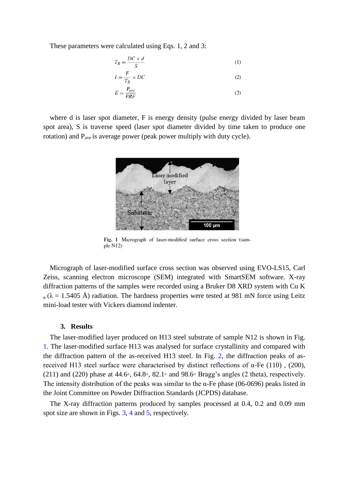These parameters were calculated using Eqs. 1, 2 and 3:

$$
T_R = \frac{DC \times d}{S} \tag{1}
$$

$$
I = \frac{F}{T_R} \times DC
$$
 (2)

$$
E = \frac{P_{\text{ave}}}{PRF} \tag{3}
$$

where d is laser spot diameter, F is energy density (pulse energy divided by laser beam spot area), S is traverse speed (laser spot diameter divided by time taken to produce one rotation) and  $P_{ave}$  is average power (peak power multiply with duty cycle).



Fig. 1 Micrograph of laser-modified surface cross section (sample N12)

Micrograph of laser-modified surface cross section was observed using EVO-LS15, Carl Zeiss, scanning electron microscope (SEM) integrated with SmartSEM software. X-ray diffraction patterns of the samples were recorded using a Bruker D8 XRD system with Cu K  $\alpha$  ( $\lambda$  = 1.5405 Å) radiation. The hardness properties were tested at 981 mN force using Leitz mini-load tester with Vickers diamond indenter.

#### **3. Results**

The laser-modified layer produced on H13 steel substrate of sample N12 is shown in Fig. 1. The laser-modified surface H13 was analysed for surface crystallinity and compared with the diffraction pattern of the as-received H13 steel. In Fig. 2, the diffraction peaks of asreceived H13 steel surface were characterised by distinct reflections of α-Fe (110), (200), (211) and (220) phase at 44.6◦, 64.8◦, 82.1◦ and 98.6◦ Bragg's angles (2 theta), respectively. The intensity distribution of the peaks was similar to the  $\alpha$ -Fe phase (06-0696) peaks listed in the Joint Committee on Powder Diffraction Standards (JCPDS) database.

The X-ray diffraction patterns produced by samples processed at 0.4, 0.2 and 0.09 mm spot size are shown in Figs. 3, 4 and 5, respectively.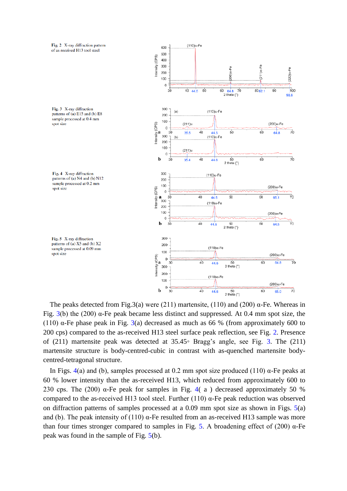

The peaks detected from Fig.3(a) were (211) martensite, (110) and (200)  $\alpha$ -Fe. Whereas in Fig.  $3(b)$  the (200)  $\alpha$ -Fe peak became less distinct and suppressed. At 0.4 mm spot size, the (110)  $\alpha$ -Fe phase peak in Fig. 3(a) decreased as much as 66 % (from approximately 600 to 200 cps) compared to the as-received H13 steel surface peak reflection, see Fig. 2. Presence of (211) martensite peak was detected at  $35.45°$  Bragg's angle, see Fig. 3. The (211) martensite structure is body-centred-cubic in contrast with as-quenched martensite bodycentred-tetragonal structure.

In Figs. 4(a) and (b), samples processed at 0.2 mm spot size produced (110)  $\alpha$ -Fe peaks at 60 % lower intensity than the as-received H13, which reduced from approximately 600 to 230 cps. The (200) α-Fe peak for samples in Fig. 4(a) decreased approximately 50 % compared to the as-received H13 tool steel. Further (110)  $\alpha$ -Fe peak reduction was observed on diffraction patterns of samples processed at a 0.09 mm spot size as shown in Figs. 5(a) and (b). The peak intensity of (110)  $\alpha$ -Fe resulted from an as-received H13 sample was more than four times stronger compared to samples in Fig. 5. A broadening effect of (200) α-Fe peak was found in the sample of Fig. 5(b).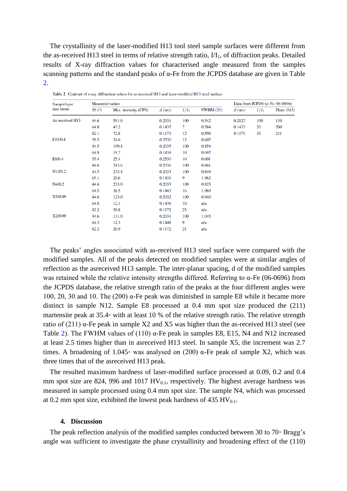The crystallinity of the laser-modified H13 tool steel sample surfaces were different from the as-received H13 steel in terms of relative strength ratio,  $VI_1$ , of diffraction peaks. Detailed results of X-ray diffraction values for characterised angle measured from the samples scanning patterns and the standard peaks of α-Fe from the JCPDS database are given in Table 2.

| Sample/spot<br>size (mm) | <b>Measured</b> values |                      |          |         |                  |          | Data from JCPDS $(\alpha$ -Fe: 06-0696) |               |  |
|--------------------------|------------------------|----------------------|----------|---------|------------------|----------|-----------------------------------------|---------------|--|
|                          | $2\theta$ (°)          | Max. intensity (CPS) | $d$ (nm) | $I/I_1$ | FWHM $(2\theta)$ | $d$ (nm) | $I/I_1$                                 | Plane $(hkl)$ |  |
| As-received H13          | 44.6                   | 591.0                | 0.2031   | 100     | 0.342            | 0.2027   | 100                                     | 110           |  |
|                          | 64.8                   | 43.2                 | 0.1437   | 7       | 0.584            | 0.1433   | 20                                      | 200           |  |
|                          | 82.1                   | 72.8                 | 0.1173   | 12      | 0.598            | 0.1170   | 30                                      | 211           |  |
| E15/0.4                  | 35.5                   | 24.6                 | 0.2530   | 12      | 0.607            |          |                                         |               |  |
|                          | 44.5                   | 199.4                | 0.2035   | 100     | 0.854            |          |                                         |               |  |
|                          | 64.8                   | 19.7                 | 0.1438   | 10      | 0.692            |          |                                         |               |  |
| E8/0.4                   | 35.4                   | 25.4                 | 0.2530   | 10      | 0.601            |          |                                         |               |  |
|                          | 44.6                   | 243.6                | 0.2036   | 100     | 0.861            |          |                                         |               |  |
| N <sub>12</sub> /0.2     | 44.5                   | 233.4                | 0.2033   | 100     | 0.849            |          |                                         |               |  |
|                          | 65.1                   | 20.6                 | 0.1431   | 9       | 1.962            |          |                                         |               |  |
| N4/0.2                   | 44.6                   | 233.0                | 0.2033   | 100     | 0.925            |          |                                         |               |  |
|                          | 64.5                   | 36.5                 | 0.1443   | 16      | 1.969            |          |                                         |               |  |
| X5/0.09                  | 44.6                   | 123.0                | 0.2032   | 100     | 0.940            |          |                                         |               |  |
|                          | 64.8                   | 12.3                 | 0.1438   | 10      | n/a              |          |                                         |               |  |
|                          | 82.2                   | 30.8                 | 0.1172   | 25      | n/a              |          |                                         |               |  |
| X2/0.09                  | 44.6                   | 131.0                | 0.2031   | 100     | 1.045            |          |                                         |               |  |
|                          | 64.3                   | 12.3                 | 0.1448   | 9       | n/a              |          |                                         |               |  |
|                          | 82.2                   | 26.9                 | 0.1172   | 21      | n/a              |          |                                         |               |  |
|                          |                        |                      |          |         |                  |          |                                         |               |  |

Table 2 Contrast of x-ray diffraction values for as-received H13 and laser-modified H13 steel surface

The peaks' angles associated with as-received H13 steel surface were compared with the modified samples. All of the peaks detected on modified samples were at similar angles of reflection as the asreceived H13 sample. The inter-planar spacing, d of the modified samples was retained while the relative intensity strengths differed. Referring to α-Fe (06-0696) from the JCPDS database, the relative strength ratio of the peaks at the four different angles were 100, 20, 30 and 10. The (200) α-Fe peak was diminished in sample E8 while it became more distinct in sample N12. Sample E8 processed at 0.4 mm spot size produced the (211) martensite peak at 35.4◦ with at least 10 % of the relative strength ratio. The relative strength ratio of (211) α-Fe peak in sample X2 and X5 was higher than the as-received H13 steel (see Table 2). The FWHM values of (110)  $\alpha$ -Fe peak in samples E8, E15, N4 and N12 increased at least 2.5 times higher than in asreceived H13 steel. In sample X5, the increment was 2.7 times. A broadening of 1.045∘ was analysed on (200)  $\alpha$ -Fe peak of sample X2, which was three times that of the asreceived H13 peak.

The resulted maximum hardness of laser-modified surface processed at 0.09, 0.2 and 0.4 mm spot size are 824, 996 and 1017  $HV_{0,1}$ , respectively. The highest average hardness was measured in sample processed using 0.4 mm spot size. The sample N4, which was processed at 0.2 mm spot size, exhibited the lowest peak hardness of 435 HV $_{0.1}$ .

## **4. Discussion**

The peak reflection analysis of the modified samples conducted between 30 to 70◦ Bragg's angle was sufficient to investigate the phase crystallinity and broadening effect of the (110)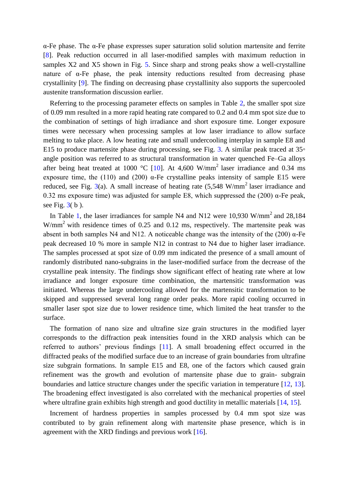α-Fe phase. The α-Fe phase expresses super saturation solid solution martensite and ferrite [8]. Peak reduction occurred in all laser-modified samples with maximum reduction in samples X2 and X5 shown in Fig. 5. Since sharp and strong peaks show a well-crystalline nature of  $\alpha$ -Fe phase, the peak intensity reductions resulted from decreasing phase crystallinity [9]. The finding on decreasing phase crystallinity also supports the supercooled austenite transformation discussion earlier.

Referring to the processing parameter effects on samples in Table 2, the smaller spot size of 0.09 mm resulted in a more rapid heating rate compared to 0.2 and 0.4 mm spot size due to the combination of settings of high irradiance and short exposure time. Longer exposure times were necessary when processing samples at low laser irradiance to allow surface melting to take place. A low heating rate and small undercooling interplay in sample E8 and E15 to produce martensite phase during processing, see Fig. 3. A similar peak traced at  $35\circ$ angle position was referred to as structural transformation in water quenched Fe–Ga alloys after being heat treated at 1000 °C [10]. At 4,600 W/mm<sup>2</sup> laser irradiance and 0.34 ms exposure time, the (110) and (200)  $\alpha$ -Fe crystalline peaks intensity of sample E15 were reduced, see Fig. 3(a). A small increase of heating rate  $(5.548 \text{ W/mm}^2)$  laser irradiance and 0.32 ms exposure time) was adjusted for sample E8, which suppressed the (200)  $\alpha$ -Fe peak, see Fig.  $3(b)$ .

In Table 1, the laser irradiances for sample N4 and N12 were  $10,930$  W/mm<sup>2</sup> and 28,184  $W/mm^2$  with residence times of 0.25 and 0.12 ms, respectively. The martensite peak was absent in both samples N4 and N12. A noticeable change was the intensity of the (200)  $\alpha$ -Fe peak decreased 10 % more in sample N12 in contrast to N4 due to higher laser irradiance. The samples processed at spot size of 0.09 mm indicated the presence of a small amount of randomly distributed nano-subgrains in the laser-modified surface from the decrease of the crystalline peak intensity. The findings show significant effect of heating rate where at low irradiance and longer exposure time combination, the martensitic transformation was initiated. Whereas the large undercooling allowed for the martensitic transformation to be skipped and suppressed several long range order peaks. More rapid cooling occurred in smaller laser spot size due to lower residence time, which limited the heat transfer to the surface.

The formation of nano size and ultrafine size grain structures in the modified layer corresponds to the diffraction peak intensities found in the XRD analysis which can be referred to authors' previous findings [11]. A small broadening effect occurred in the diffracted peaks of the modified surface due to an increase of grain boundaries from ultrafine size subgrain formations. In sample E15 and E8, one of the factors which caused grain refinement was the growth and evolution of martensite phase due to grain- subgrain boundaries and lattice structure changes under the specific variation in temperature [12, 13]. The broadening effect investigated is also correlated with the mechanical properties of steel where ultrafine grain exhibits high strength and good ductility in metallic materials [14, 15].

Increment of hardness properties in samples processed by 0.4 mm spot size was contributed to by grain refinement along with martensite phase presence, which is in agreement with the XRD findings and previous work [16].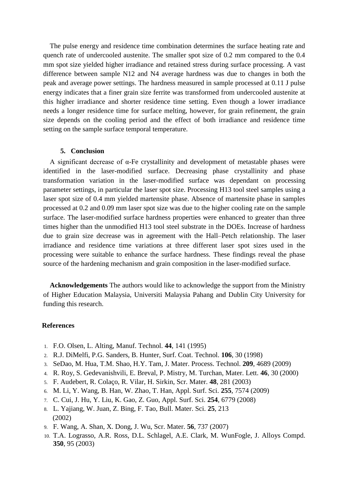The pulse energy and residence time combination determines the surface heating rate and quench rate of undercooled austenite. The smaller spot size of 0.2 mm compared to the 0.4 mm spot size yielded higher irradiance and retained stress during surface processing. A vast difference between sample N12 and N4 average hardness was due to changes in both the peak and average power settings. The hardness measured in sample processed at 0.11 J pulse energy indicates that a finer grain size ferrite was transformed from undercooled austenite at this higher irradiance and shorter residence time setting. Even though a lower irradiance needs a longer residence time for surface melting, however, for grain refinement, the grain size depends on the cooling period and the effect of both irradiance and residence time setting on the sample surface temporal temperature.

# **5. Conclusion**

A significant decrease of α-Fe crystallinity and development of metastable phases were identified in the laser-modified surface. Decreasing phase crystallinity and phase transformation variation in the laser-modified surface was dependant on processing parameter settings, in particular the laser spot size. Processing H13 tool steel samples using a laser spot size of 0.4 mm yielded martensite phase. Absence of martensite phase in samples processed at 0.2 and 0.09 mm laser spot size was due to the higher cooling rate on the sample surface. The laser-modified surface hardness properties were enhanced to greater than three times higher than the unmodified H13 tool steel substrate in the DOEs. Increase of hardness due to grain size decrease was in agreement with the Hall–Petch relationship. The laser irradiance and residence time variations at three different laser spot sizes used in the processing were suitable to enhance the surface hardness. These findings reveal the phase source of the hardening mechanism and grain composition in the laser-modified surface.

**Acknowledgements** The authors would like to acknowledge the support from the Ministry of Higher Education Malaysia, Universiti Malaysia Pahang and Dublin City University for funding this research.

#### **References**

- 1. F.O. Olsen, L. Alting, Manuf. Technol. **44**, 141 (1995)
- 2. R.J. DiMelfi, P.G. Sanders, B. Hunter, Surf. Coat. Technol. **106**, 30 (1998)
- 3. SeDao, M. Hua, T.M. Shao, H.Y. Tam, J. Mater. Process. Technol. **209**, 4689 (2009)
- 4. R. Roy, S. Gedevanishvili, E. Breval, P. Mistry, M. Turchan, Mater. Lett. **46**, 30 (2000)
- 5. F. Audebert, R. Colaço, R. Vilar, H. Sirkin, Scr. Mater. **48**, 281 (2003)
- 6. M. Li, Y. Wang, B. Han, W. Zhao, T. Han, Appl. Surf. Sci. **255**, 7574 (2009)
- 7. C. Cui, J. Hu, Y. Liu, K. Gao, Z. Guo, Appl. Surf. Sci. **254**, 6779 (2008)
- 8. L. Yajiang, W. Juan, Z. Bing, F. Tao, Bull. Mater. Sci. **25**, 213 (2002)
- 9. F. Wang, A. Shan, X. Dong, J. Wu, Scr. Mater. **56**, 737 (2007)
- 10. T.A. Lograsso, A.R. Ross, D.L. Schlagel, A.E. Clark, M. WunFogle, J. Alloys Compd. **350**, 95 (2003)